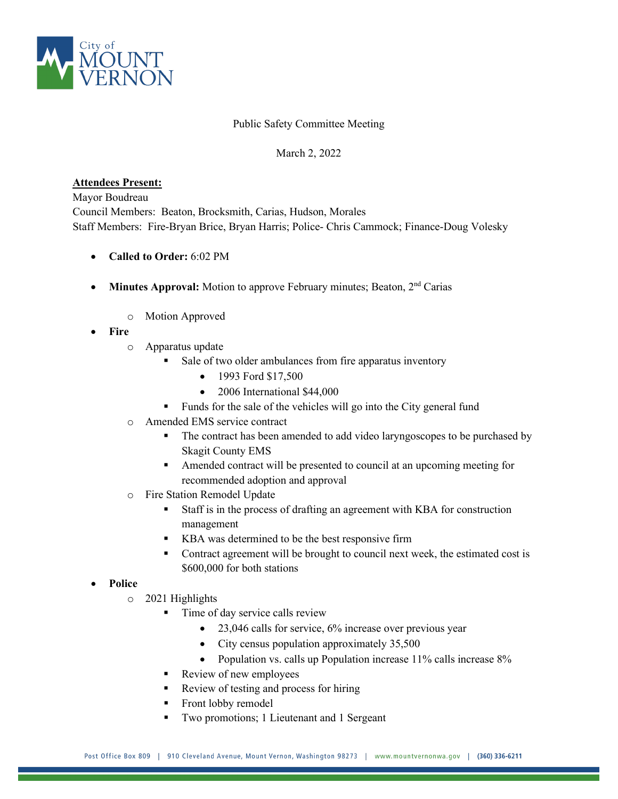

## Public Safety Committee Meeting

## March 2, 2022

## **Attendees Present:**

Mayor Boudreau Council Members: Beaton, Brocksmith, Carias, Hudson, Morales Staff Members: Fire-Bryan Brice, Bryan Harris; Police- Chris Cammock; Finance-Doug Volesky

- **Called to Order:** 6:02 PM
- **Minutes Approval:** Motion to approve February minutes; Beaton, 2<sup>nd</sup> Carias
	- o Motion Approved
- **Fire**
	- o Apparatus update
		- Sale of two older ambulances from fire apparatus inventory
			- 1993 Ford \$17,500
			- 2006 International \$44,000
		- Funds for the sale of the vehicles will go into the City general fund
	- o Amended EMS service contract
		- The contract has been amended to add video laryngoscopes to be purchased by Skagit County EMS
		- Amended contract will be presented to council at an upcoming meeting for recommended adoption and approval
	- o Fire Station Remodel Update
		- Staff is in the process of drafting an agreement with KBA for construction management
		- KBA was determined to be the best responsive firm
		- Contract agreement will be brought to council next week, the estimated cost is \$600,000 for both stations

## • **Police**

- o 2021 Highlights
	- Time of day service calls review
		- 23,046 calls for service, 6% increase over previous year
		- City census population approximately 35,500
		- Population vs. calls up Population increase 11% calls increase 8%
	- Review of new employees
	- Review of testing and process for hiring
	- Front lobby remodel
	- Two promotions; 1 Lieutenant and 1 Sergeant